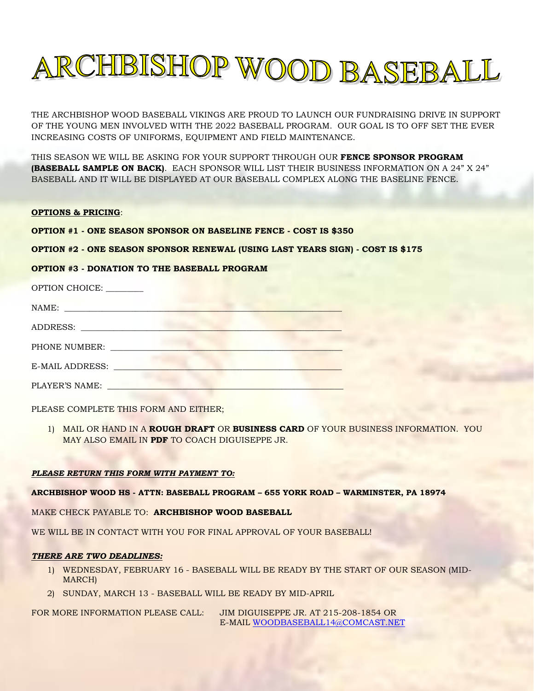

THE ARCHBISHOP WOOD BASEBALL VIKINGS ARE PROUD TO LAUNCH OUR FUNDRAISING DRIVE IN SUPPORT OF THE YOUNG MEN INVOLVED WITH THE 2022 BASEBALL PROGRAM. OUR GOAL IS TO OFF SET THE EVER INCREASING COSTS OF UNIFORMS, EQUIPMENT AND FIELD MAINTENANCE.

THIS SEASON WE WILL BE ASKING FOR YOUR SUPPORT THROUGH OUR **FENCE SPONSOR PROGRAM (BASEBALL SAMPLE ON BACK)**. EACH SPONSOR WILL LIST THEIR BUSINESS INFORMATION ON A 24" X 24" BASEBALL AND IT WILL BE DISPLAYED AT OUR BASEBALL COMPLEX ALONG THE BASELINE FENCE.

## **OPTIONS & PRICING**:

**OPTION #1 - ONE SEASON SPONSOR ON BASELINE FENCE - COST IS \$350** 

**OPTION #2 - ONE SEASON SPONSOR RENEWAL (USING LAST YEARS SIGN) - COST IS \$175** 

## **OPTION #3 - DONATION TO THE BASEBALL PROGRAM**

| OPTION CHOICE: _______                                                                                                                                                                                                        |  |
|-------------------------------------------------------------------------------------------------------------------------------------------------------------------------------------------------------------------------------|--|
|                                                                                                                                                                                                                               |  |
|                                                                                                                                                                                                                               |  |
| PHONE NUMBER: The contract of the contract of the contract of the contract of the contract of the contract of the contract of the contract of the contract of the contract of the contract of the contract of the contract of |  |
| E-MAIL ADDRESS: Universe Production Contractor                                                                                                                                                                                |  |
| PLAYER'S NAME:                                                                                                                                                                                                                |  |

PLEASE COMPLETE THIS FORM AND EITHER;

1) MAIL OR HAND IN A **ROUGH DRAFT** OR **BUSINESS CARD** OF YOUR BUSINESS INFORMATION. YOU MAY ALSO EMAIL IN **PDF** TO COACH DIGUISEPPE JR.

#### *PLEASE RETURN THIS FORM WITH PAYMENT TO:*

**ARCHBISHOP WOOD HS - ATTN: BASEBALL PROGRAM – 655 YORK ROAD – WARMINSTER, PA 18974**

MAKE CHECK PAYABLE TO: **ARCHBISHOP WOOD BASEBALL**

WE WILL BE IN CONTACT WITH YOU FOR FINAL APPROVAL OF YOUR BASEBALL!

#### *THERE ARE TWO DEADLINES:*

- 1) WEDNESDAY, FEBRUARY 16 BASEBALL WILL BE READY BY THE START OF OUR SEASON (MID-MARCH)
- 2) SUNDAY, MARCH 13 BASEBALL WILL BE READY BY MID-APRIL

FOR MORE INFORMATION PLEASE CALL: JIM DIGUISEPPE JR. AT 215-208-1854 OR E-MAIL [WOODBASEBALL14@COMCAST.NET](mailto:WOODBASEBALL14@COMCAST.NET)